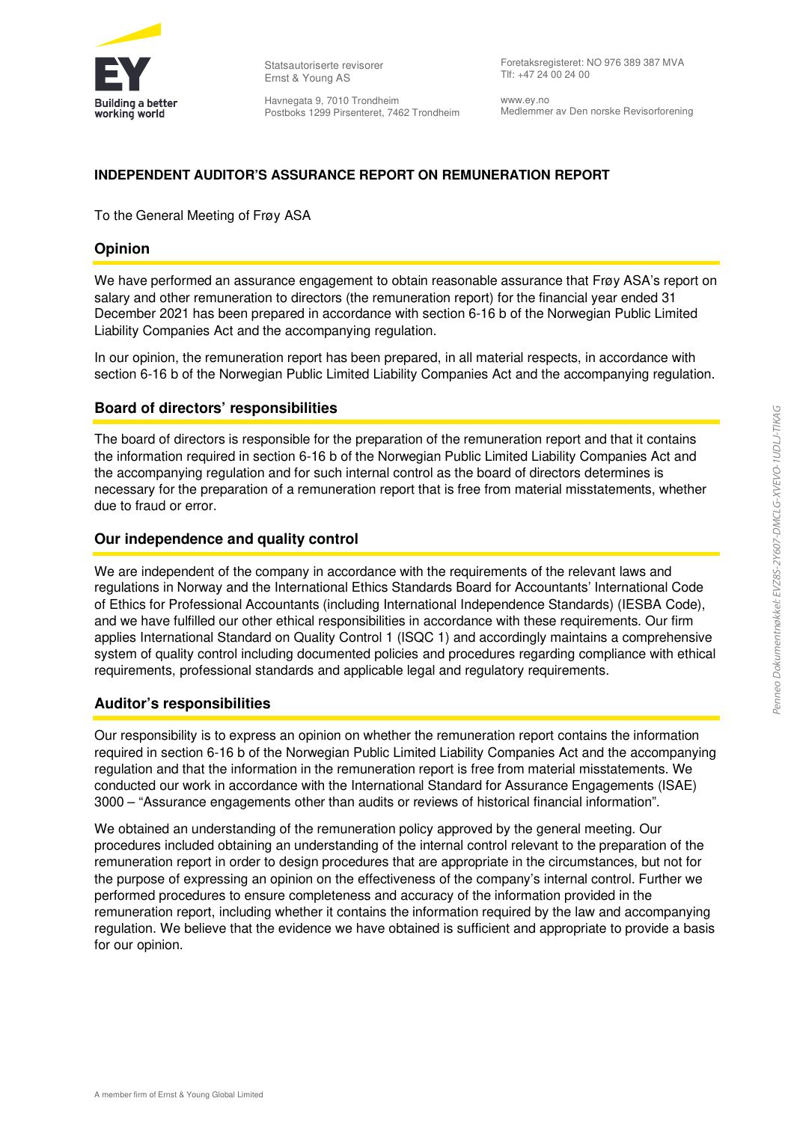

Statsautoriserte revisorer Ernst & Young AS

Havnegata 9, 7010 Trondheim Postboks 1299 Pirsenteret, 7462 Trondheim Foretaksregisteret: NO 976 389 387 MVA Tlf: +47 24 00 24 00

www.ey.no Medlemmer av Den norske Revisorforening

## **INDEPENDENT AUDITOR'S ASSURANCE REPORT ON REMUNERATION REPORT**

To the General Meeting of Frøy ASA

## **Opinion**

We have performed an assurance engagement to obtain reasonable assurance that Frøy ASA's report on salary and other remuneration to directors (the remuneration report) for the financial year ended 31 December 2021 has been prepared in accordance with section 6-16 b of the Norwegian Public Limited Liability Companies Act and the accompanying regulation.

In our opinion, the remuneration report has been prepared, in all material respects, in accordance with section 6-16 b of the Norwegian Public Limited Liability Companies Act and the accompanying regulation.

### **Board of directors' responsibilities**

The board of directors is responsible for the preparation of the remuneration report and that it contains the information required in section 6-16 b of the Norwegian Public Limited Liability Companies Act and the accompanying regulation and for such internal control as the board of directors determines is necessary for the preparation of a remuneration report that is free from material misstatements, whether due to fraud or error.

### **Our independence and quality control**

We are independent of the company in accordance with the requirements of the relevant laws and regulations in Norway and the International Ethics Standards Board for Accountants' International Code of Ethics for Professional Accountants (including International Independence Standards) (IESBA Code), and we have fulfilled our other ethical responsibilities in accordance with these requirements. Our firm applies International Standard on Quality Control 1 (ISQC 1) and accordingly maintains a comprehensive system of quality control including documented policies and procedures regarding compliance with ethical requirements, professional standards and applicable legal and regulatory requirements.

#### **Auditor's responsibilities**

Our responsibility is to express an opinion on whether the remuneration report contains the information required in section 6-16 b of the Norwegian Public Limited Liability Companies Act and the accompanying regulation and that the information in the remuneration report is free from material misstatements. We conducted our work in accordance with the International Standard for Assurance Engagements (ISAE) 3000 – "Assurance engagements other than audits or reviews of historical financial information".

We obtained an understanding of the remuneration policy approved by the general meeting. Our procedures included obtaining an understanding of the internal control relevant to the preparation of the remuneration report in order to design procedures that are appropriate in the circumstances, but not for the purpose of expressing an opinion on the effectiveness of the company's internal control. Further we performed procedures to ensure completeness and accuracy of the information provided in the remuneration report, including whether it contains the information required by the law and accompanying regulation. We believe that the evidence we have obtained is sufficient and appropriate to provide a basis for our opinion.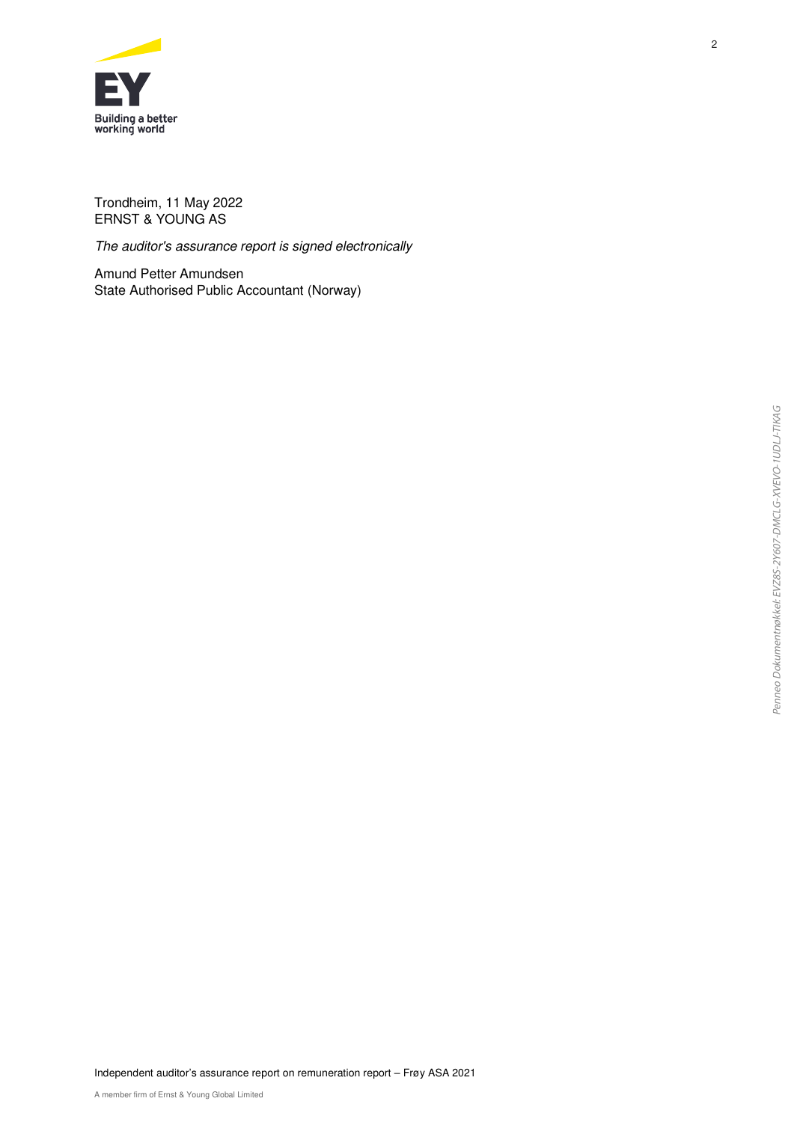

Trondheim, 11 May 2022 ERNST & YOUNG AS

The auditor's assurance report is signed electronically

Amund Petter Amundsen State Authorised Public Accountant (Norway)